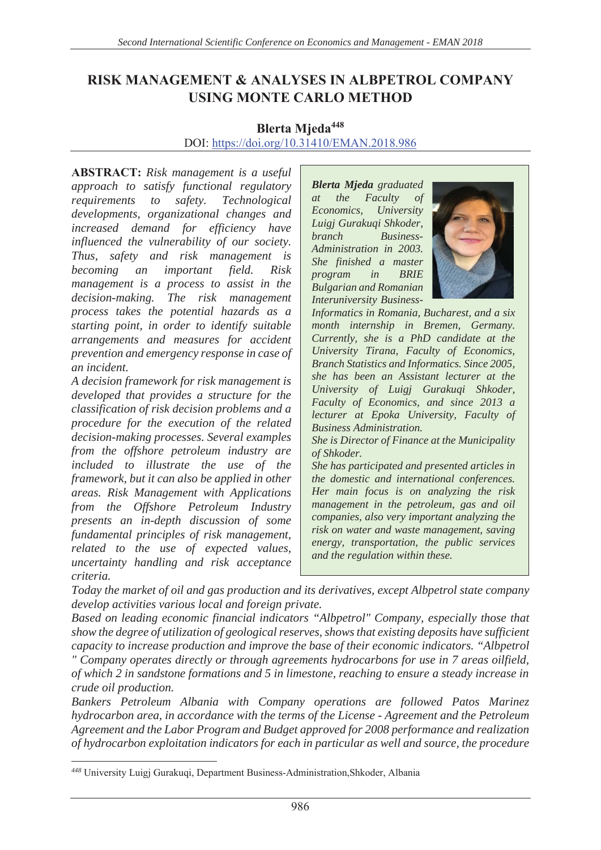## **EISK MANAGEMENT & ANALYSES IN ALBPETROL COMPANY USING MONTE CARLO METHOD**

## **Blerta Mieda**<sup>448</sup> DOI: https://doi.org/10.31410/EMAN.2018.986

**ABSTRACT:** Risk management is a useful *approach to satisfy functional regulatory requirements to safety. Technological developments, organizational changes and increased demand for efficiency have influenced the vulnerability of our society. Thus, safety and risk management is becoming an important field. Risk management is a process to assist in the decision-making. The risk management process takes the potential hazards as a starting point, in order to identify suitable arrangements and measures for accident prevention and emergency response in case of an incident.* 

*A decision framework for risk management is developed that provides a structure for the classification of risk decision problems and a procedure for the execution of the related decision-making processes. Several examples from the offshore petroleum industry are included to illustrate the use of the framework, but it can also be applied in other areas. Risk Management with Applications from the Offshore Petroleum Industry presents an in-depth discussion of some fundamental principles of risk management, related to the use of expected values, uncertainty handling and risk acceptance criteria.* 

*Blerta Mjeda graduated at the Faculty of Economics, University Luigj Gurakuqi Shkoder, branch Business-Administration in 2003. She finished a master program in BRIE Bulgarian and Romanian Interuniversity Business-*



*Informatics in Romania, Bucharest, and a six month internship in Bremen, Germany. Currently, she is a PhD candidate at the University Tirana, Faculty of Economics, Branch Statistics and Informatics. Since 2005, she has been an Assistant lecturer at the University of Luigj Gurakuqi Shkoder, Faculty of Economics, and since 2013 a lecturer at Epoka University, Faculty of Business Administration.* 

*She is Director of Finance at the Municipality of Shkoder.* 

*She has participated and presented articles in the domestic and international conferences. Her main focus is on analyzing the risk management in the petroleum, gas and oil companies, also very important analyzing the risk on water and waste management, saving energy, transportation, the public services and the regulation within these.* 

*Today the market of oil and gas production and its derivatives, except Albpetrol state company develop activities various local and foreign private.* 

*Based on leading economic financial indicators "Albpetrol" Company, especially those that show the degree of utilization of geological reserves, shows that existing deposits have sufficient capacity to increase production and improve the base of their economic indicators. "Albpetrol " Company operates directly or through agreements hydrocarbons for use in 7 areas oilfield, of which 2 in sandstone formations and 5 in limestone, reaching to ensure a steady increase in crude oil production.* 

*Bankers Petroleum Albania with Company operations are followed Patos Marinez hydrocarbon area, in accordance with the terms of the License - Agreement and the Petroleum Agreement and the Labor Program and Budget approved for 2008 performance and realization of hydrocarbon exploitation indicators for each in particular as well and source, the procedure* 

<sup>&</sup>lt;sup>448</sup> University Luigj Gurakuqi, Department Business-Administration, Shkoder, Albania